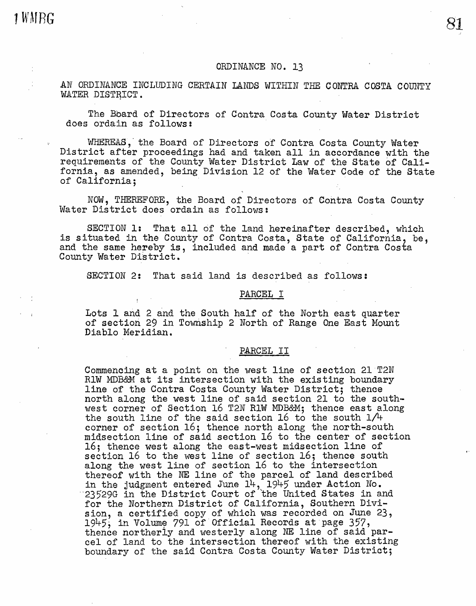1 WMRG

# ORDINANCE NO. 13

AN ORDINANCE INCLUDING CERTAIN LANDS WITHIN THE CONTRA COSTA COUNTY WATER DISTRICT.

The Bbard of Directors of Contra Costa County Water District does ordain as follows:

WHEREAS, the Board of Directors of Contra Costa County Water District after proceedings had and taken all in accordance with the requirements of the County Water District Law of the State of California, as amended, being Division 12 of the Water Code of the State of California;

NOW, THEREFORE, the Board of Directors of Contra Costa County Water District does ordain as follows:

SECTION 1: That all of the land hereinafter described, which is situated in the County of Contra Costa, State of California, be, and the same hereby is, included and made a part of Contra Costa County Water District.

SECTION 2: That said land is described as follows:

# PARCEL I

Lots 1 and 2 and the South half of the North east quarter of section 29 in Township 2 North of Range One East Mount Diablo Meridian.

PARCEL II

Commencing at a point on the west line of section 21 T2N RlW MDB&M at its intersection with the existing boundary line of the Contra Costa County Water District; thence north along the west line of said section 21 to the southwest corner of Section 16 T2N RlW MDB&M; thence east along the south line of the said section 16 to the south  $1/4$ corner of section  $16$ ; thence north along the north-south midsection line of said section 16 to the center of section 16; thence west along the east-west midsection line of section 16 to the west line of section 16; thence south along the west line of section 16 to the intersection thereof with the NE line of the parcel of land described in the judgment entered June  $14$ ,  $1945$  under Action No.  $23529G$  in the District Court of the United States in and for the Northern District of California, Southern Division, a certified copy of which was recorded on June 23,<br>1945; in Volume 791 of Official Records at page 357,<br>thence northerly and westerly along NE line of said parcel of land to the intersection thereof with the existing boundary of the said Contra Costa County Water District;

81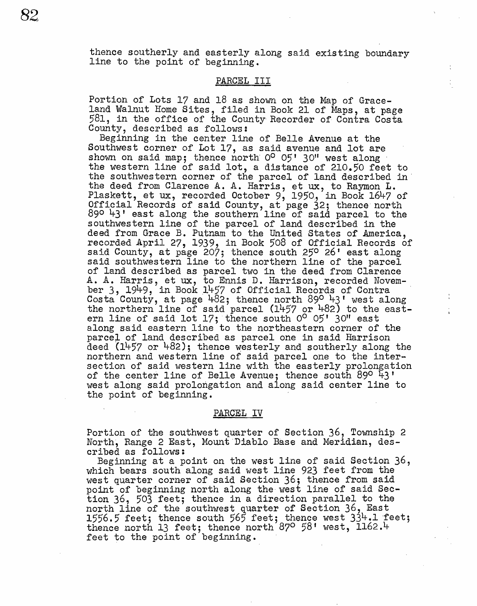thence southerly and easterly along said existing boundary line to the point of beginning.

### PARCEL III

Portion of Lots 17 and 18 as shown on the Map of Graceland Walnut Home Sites, filed in Book 21 of Maps, at page 581, in the office of the County- Recorder of Contra Costa County, described as follows:

Beginning in the center line of Belle Avenue at the Southwest corner of Lot 17, as said avenue and lot are shown on said map; thence north  $0^0$  05' 30" west along the western line of said lot, a distance of 210.50 feet to the southwestern corner of the parcel of land described in the deed from Clarence A. A. Harris, et ux, to Raymon L. Plaskett, et ux, recorded October 9, 1950, in Book 1647 of official Records of said County, at page 32; thence north 890 43' east along the southern line of said parcel to the southwestern line of the parcel of land described in the deed from Grace B. Putnam to the United States of America, recorded April 27, 1939, in Book 508 of Official Records of said County, at page 207; thence south 250 26' east along said southwestern line to the northern line of the parcel of land described as parcel two in the deed from Clarence A. A. Harris, et ux, to Ennis D. Harrison, recorded November 3, 1949, in Book 1457 of Official Records of Contra<br>Costa County, at page 482; thence north 89<sup>0</sup> 43' west along<br>the northern line of said parcel (1457 or 482) to the eastern line of said lot  $17$ ; thence south  $0^{\circ}$   $05'$  30" east along said eastern line to the northeastern corner of the parcel of land described as parcel one in said Harrison deed t1457 or 482); thence westerly and southerly along the northern and western line of said parcel one to the intersection of said western line with the easterly prolongation of the center line of Belle Avenue; thence south 89° 43' west along said prolongation and along said center line to the point of beginning.

#### PARCEL IV

Portion of the southwest quarter of Section 36, Township 2 North, Range 2 East, Mount Diablo Base and Meridian, described as follows:

Beginning at a point on the west line of said Section 36, which bears south along said west line 923 feet from the west quarter corner of said Section 36; thence from said point of beginning north along the west line of said Section 36, 503 feet; thence in a direction parallel to the north line of the southwest quarter of Section 36, East 1556.5 feet; thence south 565 feet; thence west  $33^1$ . feet; thence north 13 feet; thence north 87° 58' west, 1162.4 feet to the point of beginning.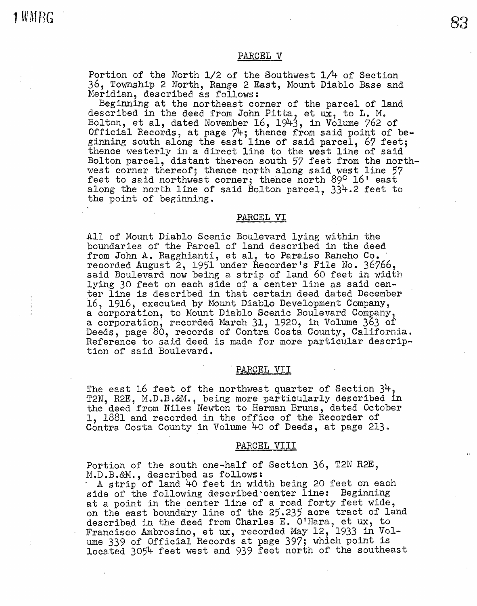# PARCEL V

Portion of. the North 1/2 of the Southwest 1/4 of Section 36, Township 2 North, Range 2 East, Mount Diablo Base and Meridian, described as follows:

Beginning at the northeast corner of the parcel of land described in the deed from John Pitta, et ux, to L. M. Bolton, et al, dated November 16, 1943, in Volume 762 of Official Records, at page 74; thence from said point of beginning south along the east line of said parcel, 67 feet; thence westerly in a direct line to the west line of said Bolton parcel, distant thereon south 57 feet from the northwest corner thereof; thence north along said west line 57 feet to said northwest corner; thence north 89° 16' east along the north line of said Bolton parcel, 334.2 feet to the point of beginning.

#### PARCEL VI

All of Mount Diablo Scenic Boulevard lying within the boundaries of the Parcel of land described in the deed from John A. Ragghianti, et al, to Paraiso Rancho Co. recorded August 2, 1951 under Recorder's File No. 36766, said Boulevard now being a strip of land 60 feet in width lyilig 30 feet on each side of a center line as said center line is described ih that certain deed dated December 16, 1916, executed by Mount Diablo Development Company, a corporation, to Monnt Diablo Scenic Boulevard Company, a corporation, recorded March 31, 1920, in Volume 363 of Deeds, page 80, records of Contra Costa County, California. Reference to said deed is made for more particular descrip- tion of said Boulevard.

### PARCEL VII

The east 16 feet of the northwest quarter of Section 34, T2N, R2E, M.D.B.&M., being more particularly described in the deed from Niles Newton to Herman Bruns, dated October 1, 1881 and recorded in the office of the Recorder of Contra Costa County in Volume 40 of Deeds, at page 213.

## PARCEL VIII

Portion of the south one-half of Section 36, T2N R2E, M.D.B.&M., described as follows:

A strip of land 40 feet in width being 20 feet on each side of the following described center line: Beginning at a point in the center line of a road forty feet wide, on the east boundary line of the 25.235 acre tract of land described in the deed from Charles E. O'Hara, et ux, to Francisco Ambrosino, et ux, recorded May 12, 1933 in Volume 339 of Official Records at page 397; which point is located 3054 feet west and 939 feet north of the southeast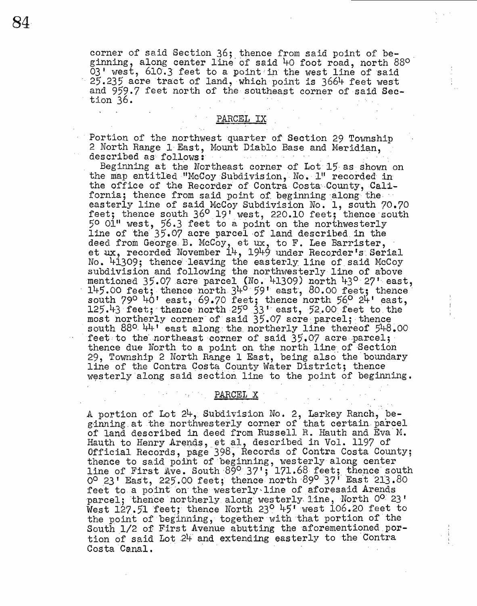corner of said Section 36; thence from said point of beginning, along center line of said 40 foot road, north 88°  $03'$  west,  $610.3$  feet to a point in the west line of said  $25.235$  acre tract of land, which point is  $3664$  feet west and 959.7 feet north of the southeast corner of said Section 36.

PARCEL IX-

Portion of the northwest quarter of Section 29 Township 2 North Range 1 East, Mount Diablo Base and Meridian, described as follows:

Beginning at the Northeast corner of Lot 15 as shown on the map entitled "McCoy Subdivision, No. 1" recorded in the office of the Recorder of Contra Costa-County, Cali-<br>fornia; thence from said point of beginning along the easterly line of said McCoy Subdivision No. 1, south 70.70 feet; thence south 36° 19' west, 220.10 feet; thence south 5° 0111 west, 56.3 feet to a point on the northwesterly line of the 35.07 acre parcel of land described in the deed from George B. McCoy, et ux, to F. Lee Barrister, et ux, recorded November  $14$ , 1949 under Recorder's Serial No. 41309; thence leaving the easterly line of said McCoy subdivision and following the northwesterly line of above mentioned  $35.07$  acre parcel (No. 41309) north  $43^{\circ}$  27' east, 145.00 feet; thence north  $34^{\circ}$  59' east, 80.00 feet; thence south 79° 40' east, 69.70 feet; thence north 56° 24' east,  $125.43$  feet; thence north  $25^{\circ}$  33' east, 52.00 feet to the most northerly corner of said  $35.07$  acre-parcel; thence<br>south 880  $44'$  east along the northerly line thereof  $54.8.00$ feet to the northeast corner of said  $35.07$  acre-parcel; thence due North to a point on the north line of Section 29, Township 2 North Range 1 East, being also the boundary line of the Contra Costa County Water District; thence westerly along said section line to the point of beginning.

PARCEL X

A portion of Lot  $24$ , Subdivision No. 2, Larkey Ranch, beginning at the northwesterly corner of that certain parcel of land described in deed from Russell R. Hauth and Eva M. Hauth to Henry Arends, et al, described in Vol. 1197 of Official Records, page 398, Records of Contra Costa County; thence to said point of beginning, westerly along center line of First Ave. South 890 37'; 171.68 feet; thence south  $\overline{0}^{\circ}$  23' East, 225.00 feet; thence north 89° 37' East 213.80 feet to a point on the westerly line of aforesaid Arends parcel; thence northerly along westerly line, North O<sup>o 23'</sup> West  $127.51$  feet; thence North 23<sup>0</sup> 45' west 106.20 feet to the point of beginning, together with that portion of the South  $1/2$  of First Avenue abutting the aforementioned portion of said Lot 24 and extending easterly to the Contra Costa Canal.